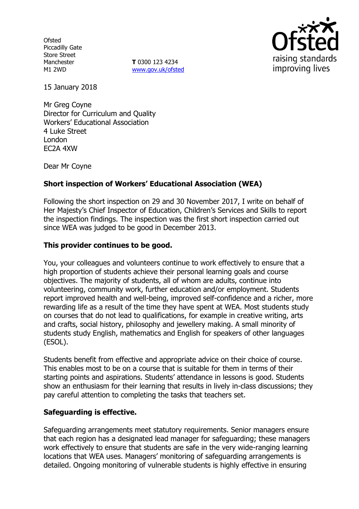**Ofsted** Piccadilly Gate Store Street Manchester M1 2WD

**T** 0300 123 4234 www.gov.uk/ofsted



15 January 2018

Mr Greg Coyne Director for Curriculum and Quality Workers' Educational Association 4 Luke Street London EC2A 4XW

Dear Mr Coyne

# **Short inspection of Workers' Educational Association (WEA)**

Following the short inspection on 29 and 30 November 2017, I write on behalf of Her Majesty's Chief Inspector of Education, Children's Services and Skills to report the inspection findings. The inspection was the first short inspection carried out since WEA was judged to be good in December 2013.

### **This provider continues to be good.**

You, your colleagues and volunteers continue to work effectively to ensure that a high proportion of students achieve their personal learning goals and course objectives. The majority of students, all of whom are adults, continue into volunteering, community work, further education and/or employment. Students report improved health and well-being, improved self-confidence and a richer, more rewarding life as a result of the time they have spent at WEA. Most students study on courses that do not lead to qualifications, for example in creative writing, arts and crafts, social history, philosophy and jewellery making. A small minority of students study English, mathematics and English for speakers of other languages (ESOL).

Students benefit from effective and appropriate advice on their choice of course. This enables most to be on a course that is suitable for them in terms of their starting points and aspirations. Students' attendance in lessons is good. Students show an enthusiasm for their learning that results in lively in-class discussions; they pay careful attention to completing the tasks that teachers set.

## **Safeguarding is effective.**

Safeguarding arrangements meet statutory requirements. Senior managers ensure that each region has a designated lead manager for safeguarding; these managers work effectively to ensure that students are safe in the very wide-ranging learning locations that WEA uses. Managers' monitoring of safeguarding arrangements is detailed. Ongoing monitoring of vulnerable students is highly effective in ensuring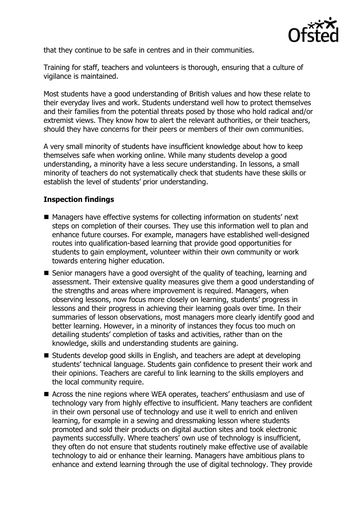

that they continue to be safe in centres and in their communities.

Training for staff, teachers and volunteers is thorough, ensuring that a culture of vigilance is maintained.

Most students have a good understanding of British values and how these relate to their everyday lives and work. Students understand well how to protect themselves and their families from the potential threats posed by those who hold radical and/or extremist views. They know how to alert the relevant authorities, or their teachers, should they have concerns for their peers or members of their own communities.

A very small minority of students have insufficient knowledge about how to keep themselves safe when working online. While many students develop a good understanding, a minority have a less secure understanding. In lessons, a small minority of teachers do not systematically check that students have these skills or establish the level of students' prior understanding.

### **Inspection findings**

- Managers have effective systems for collecting information on students' next steps on completion of their courses. They use this information well to plan and enhance future courses. For example, managers have established well-designed routes into qualification-based learning that provide good opportunities for students to gain employment, volunteer within their own community or work towards entering higher education.
- Senior managers have a good oversight of the quality of teaching, learning and assessment. Their extensive quality measures give them a good understanding of the strengths and areas where improvement is required. Managers, when observing lessons, now focus more closely on learning, students' progress in lessons and their progress in achieving their learning goals over time. In their summaries of lesson observations, most managers more clearly identify good and better learning. However, in a minority of instances they focus too much on detailing students' completion of tasks and activities, rather than on the knowledge, skills and understanding students are gaining.
- Students develop good skills in English, and teachers are adept at developing students' technical language. Students gain confidence to present their work and their opinions. Teachers are careful to link learning to the skills employers and the local community require.
- Across the nine regions where WEA operates, teachers' enthusiasm and use of technology vary from highly effective to insufficient. Many teachers are confident in their own personal use of technology and use it well to enrich and enliven learning, for example in a sewing and dressmaking lesson where students promoted and sold their products on digital auction sites and took electronic payments successfully. Where teachers' own use of technology is insufficient, they often do not ensure that students routinely make effective use of available technology to aid or enhance their learning. Managers have ambitious plans to enhance and extend learning through the use of digital technology. They provide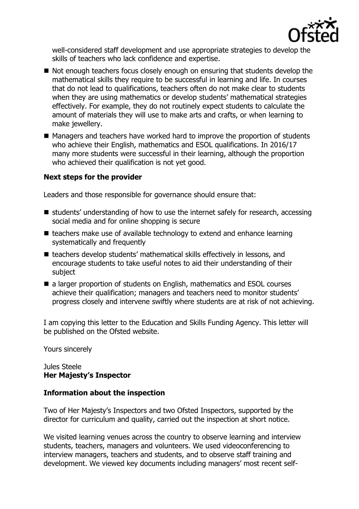

well-considered staff development and use appropriate strategies to develop the skills of teachers who lack confidence and expertise.

- Not enough teachers focus closely enough on ensuring that students develop the mathematical skills they require to be successful in learning and life. In courses that do not lead to qualifications, teachers often do not make clear to students when they are using mathematics or develop students' mathematical strategies effectively. For example, they do not routinely expect students to calculate the amount of materials they will use to make arts and crafts, or when learning to make jewellery.
- Managers and teachers have worked hard to improve the proportion of students who achieve their English, mathematics and ESOL qualifications. In 2016/17 many more students were successful in their learning, although the proportion who achieved their qualification is not yet good.

#### **Next steps for the provider**

Leaders and those responsible for governance should ensure that:

- $\blacksquare$  students' understanding of how to use the internet safely for research, accessing social media and for online shopping is secure
- $\blacksquare$  teachers make use of available technology to extend and enhance learning systematically and frequently
- teachers develop students' mathematical skills effectively in lessons, and encourage students to take useful notes to aid their understanding of their subject
- a larger proportion of students on English, mathematics and ESOL courses achieve their qualification; managers and teachers need to monitor students' progress closely and intervene swiftly where students are at risk of not achieving.

I am copying this letter to the Education and Skills Funding Agency. This letter will be published on the Ofsted website.

Yours sincerely

#### Jules Steele **Her Majesty's Inspector**

#### **Information about the inspection**

Two of Her Majesty's Inspectors and two Ofsted Inspectors, supported by the director for curriculum and quality, carried out the inspection at short notice.

We visited learning venues across the country to observe learning and interview students, teachers, managers and volunteers. We used videoconferencing to interview managers, teachers and students, and to observe staff training and development. We viewed key documents including managers' most recent self-